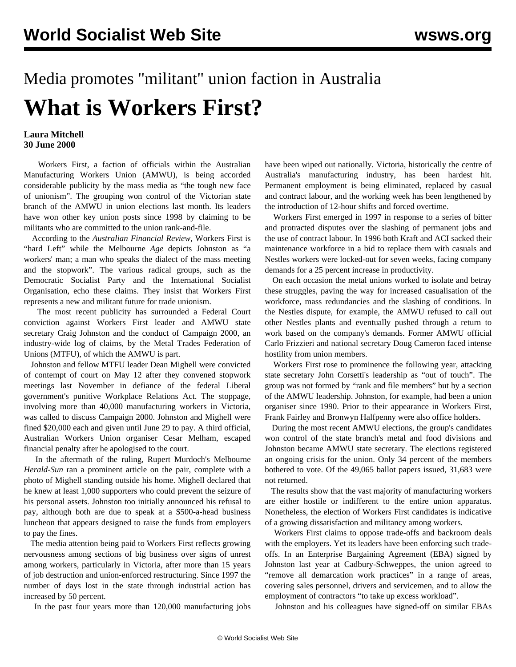## Media promotes "militant" union faction in Australia **What is Workers First?**

## **Laura Mitchell 30 June 2000**

 Workers First, a faction of officials within the Australian Manufacturing Workers Union (AMWU), is being accorded considerable publicity by the mass media as "the tough new face of unionism". The grouping won control of the Victorian state branch of the AMWU in union elections last month. Its leaders have won other key union posts since 1998 by claiming to be militants who are committed to the union rank-and-file.

 According to the *Australian Financial Review,* Workers First is "hard Left" while the Melbourne *Age* depicts Johnston as "a workers' man; a man who speaks the dialect of the mass meeting and the stopwork". The various radical groups, such as the Democratic Socialist Party and the International Socialist Organisation, echo these claims. They insist that Workers First represents a new and militant future for trade unionism.

 The most recent publicity has surrounded a Federal Court conviction against Workers First leader and AMWU state secretary Craig Johnston and the conduct of Campaign 2000, an industry-wide log of claims, by the Metal Trades Federation of Unions (MTFU), of which the AMWU is part.

 Johnston and fellow MTFU leader Dean Mighell were convicted of contempt of court on May 12 after they convened stopwork meetings last November in defiance of the federal Liberal government's punitive Workplace Relations Act. The stoppage, involving more than 40,000 manufacturing workers in Victoria, was called to discuss Campaign 2000. Johnston and Mighell were fined \$20,000 each and given until June 29 to pay. A third official, Australian Workers Union organiser Cesar Melham, escaped financial penalty after he apologised to the court.

 In the aftermath of the ruling, Rupert Murdoch's Melbourne *Herald-Sun* ran a prominent article on the pair, complete with a photo of Mighell standing outside his home. Mighell declared that he knew at least 1,000 supporters who could prevent the seizure of his personal assets. Johnston too initially announced his refusal to pay, although both are due to speak at a \$500-a-head business luncheon that appears designed to raise the funds from employers to pay the fines.

 The media attention being paid to Workers First reflects growing nervousness among sections of big business over signs of unrest among workers, particularly in Victoria, after more than 15 years of job destruction and union-enforced restructuring. Since 1997 the number of days lost in the state through industrial action has increased by 50 percent.

In the past four years more than 120,000 manufacturing jobs

have been wiped out nationally. Victoria, historically the centre of Australia's manufacturing industry, has been hardest hit. Permanent employment is being eliminated, replaced by casual and contract labour, and the working week has been lengthened by the introduction of 12-hour shifts and forced overtime.

 Workers First emerged in 1997 in response to a series of bitter and protracted disputes over the slashing of permanent jobs and the use of contract labour. In 1996 both Kraft and ACI sacked their maintenance workforce in a bid to replace them with casuals and Nestles workers were locked-out for seven weeks, facing company demands for a 25 percent increase in productivity.

 On each occasion the metal unions worked to isolate and betray these struggles, paving the way for increased casualisation of the workforce, mass redundancies and the slashing of conditions. In the Nestles dispute, for example, the AMWU refused to call out other Nestles plants and eventually pushed through a return to work based on the company's demands. Former AMWU official Carlo Frizzieri and national secretary Doug Cameron faced intense hostility from union members.

 Workers First rose to prominence the following year, attacking state secretary John Corsetti's leadership as "out of touch". The group was not formed by "rank and file members" but by a section of the AMWU leadership. Johnston, for example, had been a union organiser since 1990. Prior to their appearance in Workers First, Frank Fairley and Bronwyn Halfpenny were also office holders.

 During the most recent AMWU elections, the group's candidates won control of the state branch's metal and food divisions and Johnston became AMWU state secretary. The elections registered an ongoing crisis for the union. Only 34 percent of the members bothered to vote. Of the 49,065 ballot papers issued, 31,683 were not returned.

 The results show that the vast majority of manufacturing workers are either hostile or indifferent to the entire union apparatus. Nonetheless, the election of Workers First candidates is indicative of a growing dissatisfaction and militancy among workers.

 Workers First claims to oppose trade-offs and backroom deals with the employers. Yet its leaders have been enforcing such tradeoffs. In an Enterprise Bargaining Agreement (EBA) signed by Johnston last year at Cadbury-Schweppes, the union agreed to "remove all demarcation work practices" in a range of areas, covering sales personnel, drivers and servicemen, and to allow the employment of contractors "to take up excess workload".

Johnston and his colleagues have signed-off on similar EBAs